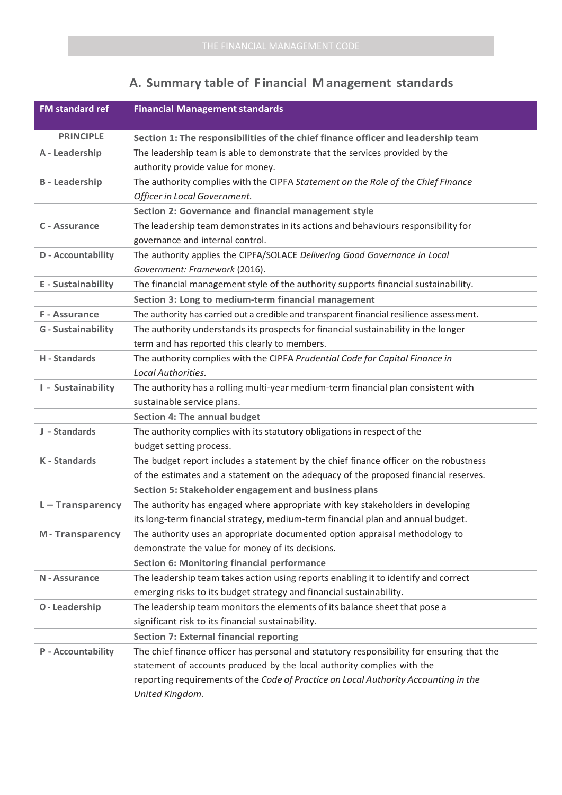## **A. Summary table of F inancial M anagement standards**

| <b>FM standard ref</b>    | <b>Financial Management standards</b>                                                     |
|---------------------------|-------------------------------------------------------------------------------------------|
| <b>PRINCIPLE</b>          | Section 1: The responsibilities of the chief finance officer and leadership team          |
| A - Leadership            | The leadership team is able to demonstrate that the services provided by the              |
|                           | authority provide value for money.                                                        |
| <b>B</b> - Leadership     | The authority complies with the CIPFA Statement on the Role of the Chief Finance          |
|                           | Officer in Local Government.                                                              |
|                           | Section 2: Governance and financial management style                                      |
| C - Assurance             | The leadership team demonstrates in its actions and behaviours responsibility for         |
|                           | governance and internal control.                                                          |
| D - Accountability        | The authority applies the CIPFA/SOLACE Delivering Good Governance in Local                |
|                           | Government: Framework (2016).                                                             |
| <b>E</b> - Sustainability | The financial management style of the authority supports financial sustainability.        |
|                           | Section 3: Long to medium-term financial management                                       |
| F - Assurance             | The authority has carried out a credible and transparent financial resilience assessment. |
| <b>G</b> - Sustainability | The authority understands its prospects for financial sustainability in the longer        |
|                           | term and has reported this clearly to members.                                            |
| H - Standards             | The authority complies with the CIPFA Prudential Code for Capital Finance in              |
|                           | Local Authorities.                                                                        |
| I - Sustainability        | The authority has a rolling multi-year medium-term financial plan consistent with         |
|                           | sustainable service plans.                                                                |
|                           | <b>Section 4: The annual budget</b>                                                       |
| J - Standards             | The authority complies with its statutory obligations in respect of the                   |
|                           | budget setting process.                                                                   |
| <b>K</b> - Standards      | The budget report includes a statement by the chief finance officer on the robustness     |
|                           | of the estimates and a statement on the adequacy of the proposed financial reserves.      |
|                           | Section 5: Stakeholder engagement and business plans                                      |
| $L - Transparency$        | The authority has engaged where appropriate with key stakeholders in developing           |
|                           | its long-term financial strategy, medium-term financial plan and annual budget.           |
| <b>M-Transparency</b>     | The authority uses an appropriate documented option appraisal methodology to              |
|                           | demonstrate the value for money of its decisions.                                         |
|                           | <b>Section 6: Monitoring financial performance</b>                                        |
| N - Assurance             | The leadership team takes action using reports enabling it to identify and correct        |
|                           | emerging risks to its budget strategy and financial sustainability.                       |
| <b>0-Leadership</b>       | The leadership team monitors the elements of its balance sheet that pose a                |
|                           | significant risk to its financial sustainability.                                         |
|                           | <b>Section 7: External financial reporting</b>                                            |
| P - Accountability        | The chief finance officer has personal and statutory responsibility for ensuring that the |
|                           | statement of accounts produced by the local authority complies with the                   |
|                           | reporting requirements of the Code of Practice on Local Authority Accounting in the       |
|                           | United Kingdom.                                                                           |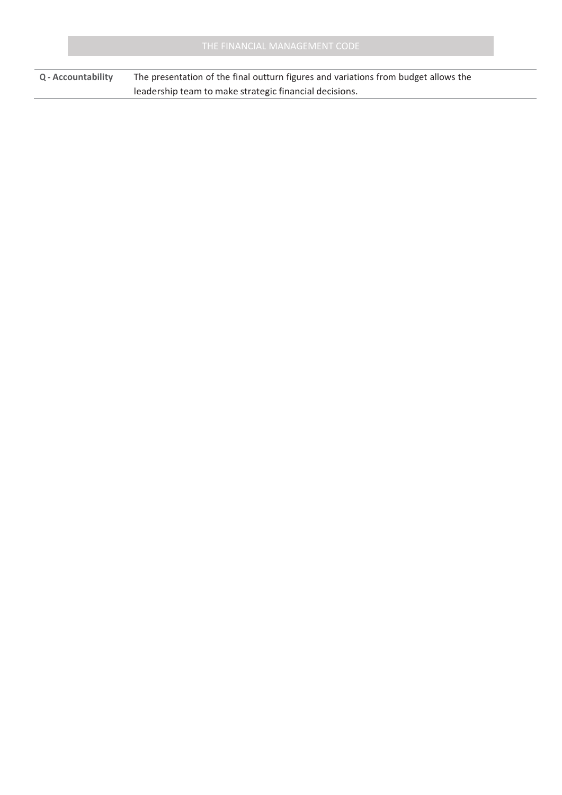**Q - Accountability** The presentation of the final outturn figures and variations from budget allows the leadership team to make strategic financial decisions.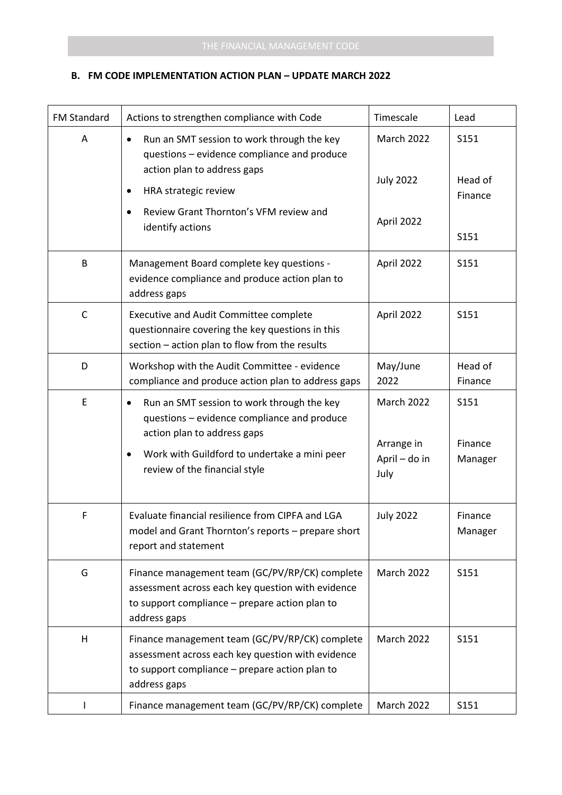| <b>FM Standard</b> | Actions to strengthen compliance with Code                                                                                                                                                                                          | Timescale                                         | Lead                       |
|--------------------|-------------------------------------------------------------------------------------------------------------------------------------------------------------------------------------------------------------------------------------|---------------------------------------------------|----------------------------|
| A                  | Run an SMT session to work through the key<br>questions - evidence compliance and produce<br>action plan to address gaps                                                                                                            | March 2022                                        | S151                       |
|                    | HRA strategic review<br>٠                                                                                                                                                                                                           | <b>July 2022</b>                                  | Head of<br>Finance         |
|                    | Review Grant Thornton's VFM review and<br>$\bullet$<br>identify actions                                                                                                                                                             | April 2022                                        | S151                       |
| B                  | Management Board complete key questions -<br>evidence compliance and produce action plan to<br>address gaps                                                                                                                         | April 2022                                        | S151                       |
| $\mathsf{C}$       | <b>Executive and Audit Committee complete</b><br>questionnaire covering the key questions in this<br>section - action plan to flow from the results                                                                                 | April 2022                                        | S151                       |
| D                  | Workshop with the Audit Committee - evidence<br>compliance and produce action plan to address gaps                                                                                                                                  | May/June<br>2022                                  | Head of<br>Finance         |
| $\mathsf E$        | Run an SMT session to work through the key<br>$\bullet$<br>questions - evidence compliance and produce<br>action plan to address gaps<br>Work with Guildford to undertake a mini peer<br>$\bullet$<br>review of the financial style | March 2022<br>Arrange in<br>April - do in<br>July | S151<br>Finance<br>Manager |
|                    |                                                                                                                                                                                                                                     |                                                   |                            |
| F                  | Evaluate financial resilience from CIPFA and LGA<br>model and Grant Thornton's reports - prepare short<br>report and statement                                                                                                      | <b>July 2022</b>                                  | Finance<br>Manager         |
| G                  | Finance management team (GC/PV/RP/CK) complete<br>assessment across each key question with evidence<br>to support compliance - prepare action plan to<br>address gaps                                                               | <b>March 2022</b>                                 | S151                       |
| H                  | Finance management team (GC/PV/RP/CK) complete<br>assessment across each key question with evidence<br>to support compliance - prepare action plan to<br>address gaps                                                               | March 2022                                        | S151                       |
|                    | Finance management team (GC/PV/RP/CK) complete                                                                                                                                                                                      | March 2022                                        | S151                       |

## **B. FM CODE IMPLEMENTATION ACTION PLAN – UPDATE MARCH 2022**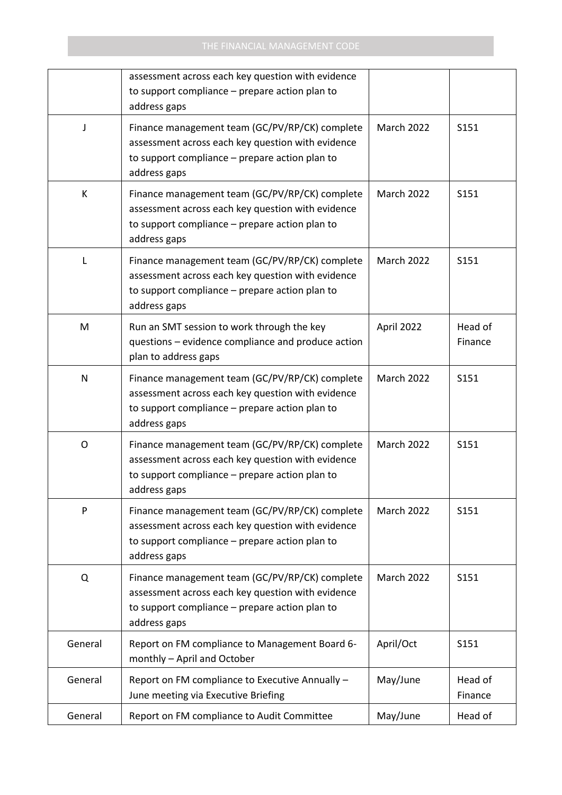|         | assessment across each key question with evidence<br>to support compliance - prepare action plan to<br>address gaps                                                   |                   |                    |
|---------|-----------------------------------------------------------------------------------------------------------------------------------------------------------------------|-------------------|--------------------|
| J       | Finance management team (GC/PV/RP/CK) complete<br>assessment across each key question with evidence<br>to support compliance - prepare action plan to<br>address gaps | <b>March 2022</b> | S151               |
| К       | Finance management team (GC/PV/RP/CK) complete<br>assessment across each key question with evidence<br>to support compliance - prepare action plan to<br>address gaps | March 2022        | S151               |
| L       | Finance management team (GC/PV/RP/CK) complete<br>assessment across each key question with evidence<br>to support compliance - prepare action plan to<br>address gaps | <b>March 2022</b> | S151               |
| M       | Run an SMT session to work through the key<br>questions - evidence compliance and produce action<br>plan to address gaps                                              | April 2022        | Head of<br>Finance |
| N       | Finance management team (GC/PV/RP/CK) complete<br>assessment across each key question with evidence<br>to support compliance - prepare action plan to<br>address gaps | March 2022        | S151               |
| O       | Finance management team (GC/PV/RP/CK) complete<br>assessment across each key question with evidence<br>to support compliance - prepare action plan to<br>address gaps | <b>March 2022</b> | S151               |
| P       | Finance management team (GC/PV/RP/CK) complete<br>assessment across each key question with evidence<br>to support compliance - prepare action plan to<br>address gaps | March 2022        | S151               |
| Q       | Finance management team (GC/PV/RP/CK) complete<br>assessment across each key question with evidence<br>to support compliance - prepare action plan to<br>address gaps | March 2022        | S151               |
| General | Report on FM compliance to Management Board 6-<br>monthly - April and October                                                                                         | April/Oct         | S151               |
| General | Report on FM compliance to Executive Annually -<br>June meeting via Executive Briefing                                                                                | May/June          | Head of<br>Finance |
| General | Report on FM compliance to Audit Committee                                                                                                                            | May/June          | Head of            |